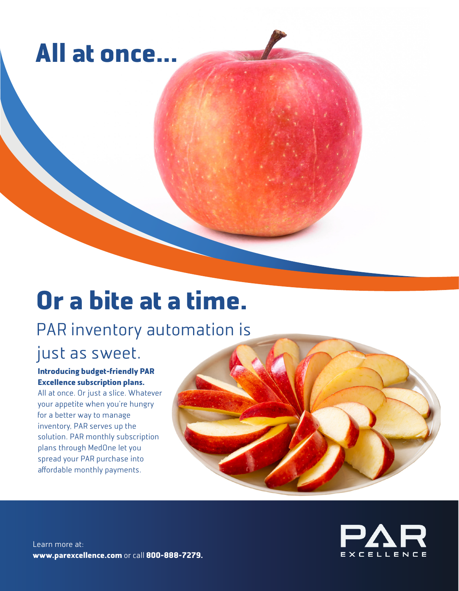# **All at once...**

# **Or a bite at a time.**

## PAR inventory automation is

### just as sweet.

### **Introducing budget-friendly PAR Excellence subscription plans.**

All at once. Or just a slice. Whatever your appetite when you're hungry for a better way to manage inventory, PAR serves up the solution. PAR monthly subscription plans through MedOne let you spread your PAR purchase into affordable monthly payments.